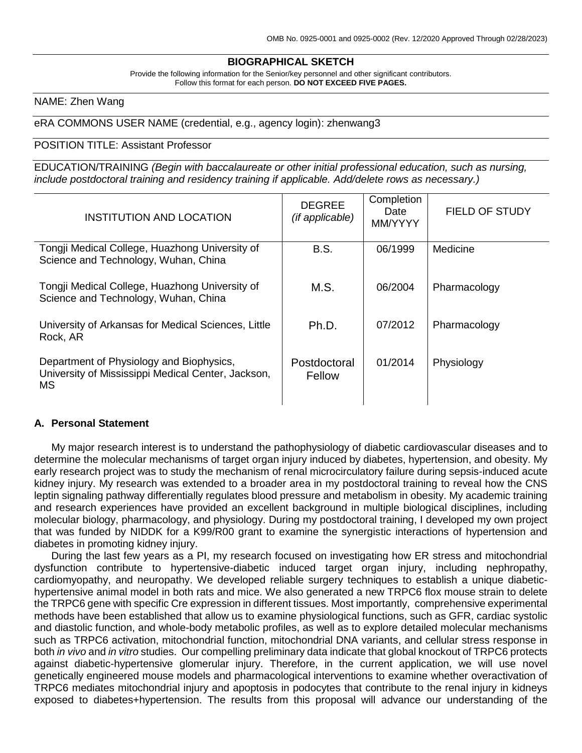## **BIOGRAPHICAL SKETCH**

Provide the following information for the Senior/key personnel and other significant contributors. Follow this format for each person. **DO NOT EXCEED FIVE PAGES.**

## NAME: Zhen Wang

### eRA COMMONS USER NAME (credential, e.g., agency login): zhenwang3

#### POSITION TITLE: Assistant Professor

EDUCATION/TRAINING *(Begin with baccalaureate or other initial professional education, such as nursing, include postdoctoral training and residency training if applicable. Add/delete rows as necessary.)*

| INSTITUTION AND LOCATION                                                                                    | <b>DEGREE</b><br>(if applicable) | Completion<br>Date<br>MM/YYYY | FIELD OF STUDY |
|-------------------------------------------------------------------------------------------------------------|----------------------------------|-------------------------------|----------------|
| Tongji Medical College, Huazhong University of<br>Science and Technology, Wuhan, China                      | <b>B.S.</b>                      | 06/1999                       | Medicine       |
| Tongji Medical College, Huazhong University of<br>Science and Technology, Wuhan, China                      | M.S.                             | 06/2004                       | Pharmacology   |
| University of Arkansas for Medical Sciences, Little<br>Rock, AR                                             | Ph.D.                            | 07/2012                       | Pharmacology   |
| Department of Physiology and Biophysics,<br>University of Mississippi Medical Center, Jackson,<br><b>MS</b> | Postdoctoral<br>Fellow           | 01/2014                       | Physiology     |

#### **A. Personal Statement**

My major research interest is to understand the pathophysiology of diabetic cardiovascular diseases and to determine the molecular mechanisms of target organ injury induced by diabetes, hypertension, and obesity. My early research project was to study the mechanism of renal microcirculatory failure during sepsis-induced acute kidney injury. My research was extended to a broader area in my postdoctoral training to reveal how the CNS leptin signaling pathway differentially regulates blood pressure and metabolism in obesity. My academic training and research experiences have provided an excellent background in multiple biological disciplines, including molecular biology, pharmacology, and physiology. During my postdoctoral training, I developed my own project that was funded by NIDDK for a K99/R00 grant to examine the synergistic interactions of hypertension and diabetes in promoting kidney injury.

During the last few years as a PI, my research focused on investigating how ER stress and mitochondrial dysfunction contribute to hypertensive-diabetic induced target organ injury, including nephropathy, cardiomyopathy, and neuropathy. We developed reliable surgery techniques to establish a unique diabetichypertensive animal model in both rats and mice. We also generated a new TRPC6 flox mouse strain to delete the TRPC6 gene with specific Cre expression in different tissues. Most importantly, comprehensive experimental methods have been established that allow us to examine physiological functions, such as GFR, cardiac systolic and diastolic function, and whole-body metabolic profiles, as well as to explore detailed molecular mechanisms such as TRPC6 activation, mitochondrial function, mitochondrial DNA variants, and cellular stress response in both *in vivo* and *in vitro* studies. Our compelling preliminary data indicate that global knockout of TRPC6 protects against diabetic-hypertensive glomerular injury. Therefore, in the current application, we will use novel genetically engineered mouse models and pharmacological interventions to examine whether overactivation of TRPC6 mediates mitochondrial injury and apoptosis in podocytes that contribute to the renal injury in kidneys exposed to diabetes+hypertension. The results from this proposal will advance our understanding of the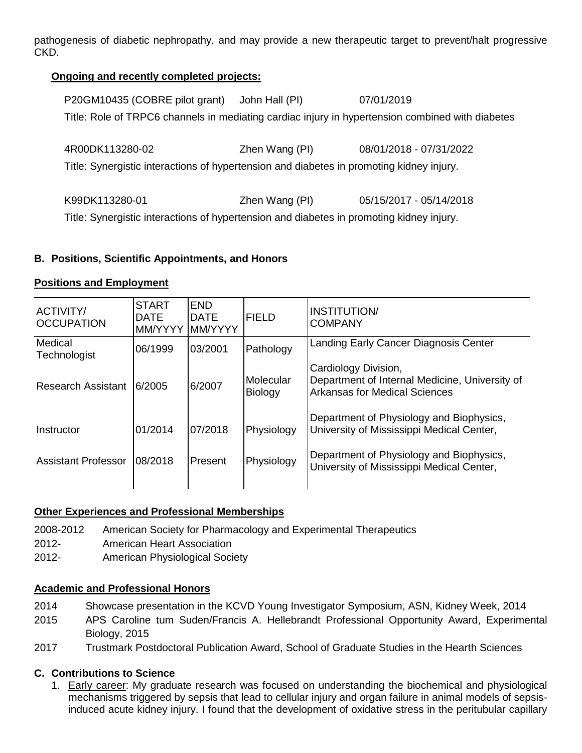pathogenesis of diabetic nephropathy, and may provide a new therapeutic target to prevent/halt progressive CKD.

# **Ongoing and recently completed projects:**

| P20GM10435 (COBRE pilot grant)                                                                   | John Hall (PI) | 07/01/2019              |  |  |  |  |  |
|--------------------------------------------------------------------------------------------------|----------------|-------------------------|--|--|--|--|--|
| Title: Role of TRPC6 channels in mediating cardiac injury in hypertension combined with diabetes |                |                         |  |  |  |  |  |
|                                                                                                  |                |                         |  |  |  |  |  |
| 4R00DK113280-02                                                                                  | Zhen Wang (PI) | 08/01/2018 - 07/31/2022 |  |  |  |  |  |
| Title: Synergistic interactions of hypertension and diabetes in promoting kidney injury.         |                |                         |  |  |  |  |  |
|                                                                                                  |                |                         |  |  |  |  |  |
| K99DK113280-01                                                                                   | Zhen Wang (PI) | 05/15/2017 - 05/14/2018 |  |  |  |  |  |
| Title: Synergistic interactions of hypertension and diabetes in promoting kidney injury.         |                |                         |  |  |  |  |  |

# **B. Positions, Scientific Appointments, and Honors**

## **Positions and Employment**

| <b>ACTIVITY/</b><br><b>OCCUPATION</b> | <b>START</b><br><b>DATE</b><br>MM/YYYY | <b>END</b><br><b>DATE</b><br><b>MM/YYYY</b> | <b>FIELD</b>                | <b>INSTITUTION</b><br><b>COMPANY</b>                                                                           |
|---------------------------------------|----------------------------------------|---------------------------------------------|-----------------------------|----------------------------------------------------------------------------------------------------------------|
| Medical<br>Technologist               | 06/1999                                | 03/2001                                     | Pathology                   | Landing Early Cancer Diagnosis Center                                                                          |
| <b>Research Assistant</b>             | 6/2005                                 | 6/2007                                      | Molecular<br><b>Biology</b> | Cardiology Division,<br>Department of Internal Medicine, University of<br><b>Arkansas for Medical Sciences</b> |
| Instructor                            | 01/2014                                | 07/2018                                     | Physiology                  | Department of Physiology and Biophysics,<br>University of Mississippi Medical Center,                          |
| <b>Assistant Professor</b>            | 08/2018                                | <b>Present</b>                              | Physiology                  | Department of Physiology and Biophysics,<br>University of Mississippi Medical Center,                          |

## **Other Experiences and Professional Memberships**

- 2008-2012 American Society for Pharmacology and Experimental Therapeutics
- 2012- American Heart Association
- 2012- American Physiological Society

## **Academic and Professional Honors**

- 2014 Showcase presentation in the KCVD Young Investigator Symposium, ASN, Kidney Week, 2014
- 2015 APS Caroline tum Suden/Francis A. Hellebrandt Professional Opportunity Award, Experimental Biology, 2015
- 2017 Trustmark Postdoctoral Publication Award, School of Graduate Studies in the Hearth Sciences

## **C. Contributions to Science**

1. Early career: My graduate research was focused on understanding the biochemical and physiological mechanisms triggered by sepsis that lead to cellular injury and organ failure in animal models of sepsisinduced acute kidney injury. I found that the development of oxidative stress in the peritubular capillary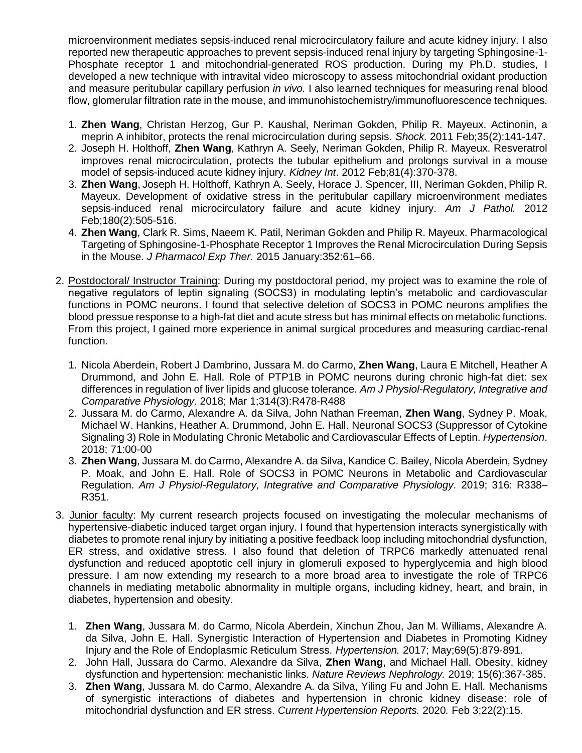microenvironment mediates sepsis-induced renal microcirculatory failure and acute kidney injury. I also reported new therapeutic approaches to prevent sepsis-induced renal injury by targeting Sphingosine-1- Phosphate receptor 1 and mitochondrial-generated ROS production. During my Ph.D. studies, I developed a new technique with intravital video microscopy to assess mitochondrial oxidant production and measure peritubular capillary perfusion *in vivo.* I also learned techniques for measuring renal blood flow, glomerular filtration rate in the mouse, and immunohistochemistry/immunofluorescence techniques.

- 1. **Zhen Wang**, Christan Herzog, Gur P. Kaushal, Neriman Gokden, Philip R. Mayeux. Actinonin, a meprin A inhibitor, protects the renal microcirculation during sepsis. *Shock.* 2011 Feb;35(2):141-147.
- 2. Joseph H. Holthoff, **Zhen Wang**, Kathryn A. Seely, Neriman Gokden, Philip R. Mayeux. Resveratrol improves renal microcirculation, protects the tubular epithelium and prolongs survival in a mouse model of sepsis-induced acute kidney injury. *Kidney Int*. 2012 Feb;81(4):370-378.
- 3. **Zhen Wang**, Joseph H. Holthoff, Kathryn A. Seely, Horace J. Spencer, III, Neriman Gokden, Philip R. Mayeux. Development of oxidative stress in the peritubular capillary microenvironment mediates sepsis-induced renal microcirculatory failure and acute kidney injury. *Am J Pathol.* 2012 Feb;180(2):505-516.
- 4. **Zhen Wang**, Clark R. Sims, Naeem K. Patil, Neriman Gokden and Philip R. Mayeux. Pharmacological Targeting of Sphingosine-1-Phosphate Receptor 1 Improves the Renal Microcirculation During Sepsis in the Mouse. *J Pharmacol Exp Ther.* 2015 January:352:61–66.
- 2. Postdoctoral/ Instructor Training: During my postdoctoral period, my project was to examine the role of negative regulators of leptin signaling (SOCS3) in modulating leptin's metabolic and cardiovascular functions in POMC neurons. I found that selective deletion of SOCS3 in POMC neurons amplifies the blood pressue response to a high-fat diet and acute stress but has minimal effects on metabolic functions. From this project, I gained more experience in animal surgical procedures and measuring cardiac-renal function.
	- 1. Nicola Aberdein, Robert J Dambrino, Jussara M. do Carmo, **Zhen Wang**, Laura E Mitchell, Heather A Drummond, and John E. Hall. Role of PTP1B in POMC neurons during chronic high-fat diet: sex differences in regulation of liver lipids and glucose tolerance. *Am J Physiol-Regulatory, Integrative and Comparative Physiology*. 2018; Mar 1;314(3):R478-R488
	- 2. Jussara M. do Carmo, Alexandre A. da Silva, John Nathan Freeman, **Zhen Wang**, Sydney P. Moak, Michael W. Hankins, Heather A. Drummond, John E. Hall. Neuronal SOCS3 (Suppressor of Cytokine Signaling 3) Role in Modulating Chronic Metabolic and Cardiovascular Effects of Leptin. *Hypertension*. 2018; 71:00-00
	- 3. **Zhen Wang**, Jussara M. do Carmo, Alexandre A. da Silva, Kandice C. Bailey, Nicola Aberdein, Sydney P. Moak, and John E. Hall. Role of SOCS3 in POMC Neurons in Metabolic and Cardiovascular Regulation. *Am J Physiol-Regulatory, Integrative and Comparative Physiology.* 2019; 316: R338– R351.
- 3. Junior faculty: My current research projects focused on investigating the molecular mechanisms of hypertensive-diabetic induced target organ injury. I found that hypertension interacts synergistically with diabetes to promote renal injury by initiating a positive feedback loop including mitochondrial dysfunction, ER stress, and oxidative stress. I also found that deletion of TRPC6 markedly attenuated renal dysfunction and reduced apoptotic cell injury in glomeruli exposed to hyperglycemia and high blood pressure. I am now extending my research to a more broad area to investigate the role of TRPC6 channels in mediating metabolic abnormality in multiple organs, including kidney, heart, and brain, in diabetes, hypertension and obesity.
	- 1. **Zhen Wang**, Jussara M. do Carmo, Nicola Aberdein, Xinchun Zhou, Jan M. Williams, Alexandre A. da Silva, John E. Hall. Synergistic Interaction of Hypertension and Diabetes in Promoting Kidney Injury and the Role of Endoplasmic Reticulum Stress. *Hypertension.* 2017; May;69(5):879-891.
	- 2. John Hall, Jussara do Carmo, Alexandre da Silva, **Zhen Wang**, and Michael Hall. Obesity, kidney dysfunction and hypertension: mechanistic links. *Nature Reviews Nephrology.* 2019; 15(6):367-385.
	- 3. **Zhen Wang**, Jussara M. do Carmo, Alexandre A. da Silva, Yiling Fu and John E. Hall. Mechanisms of synergistic interactions of diabetes and hypertension in chronic kidney disease: role of mitochondrial dysfunction and ER stress. *Current Hypertension Reports.* 2020*.* Feb 3;22(2):15.